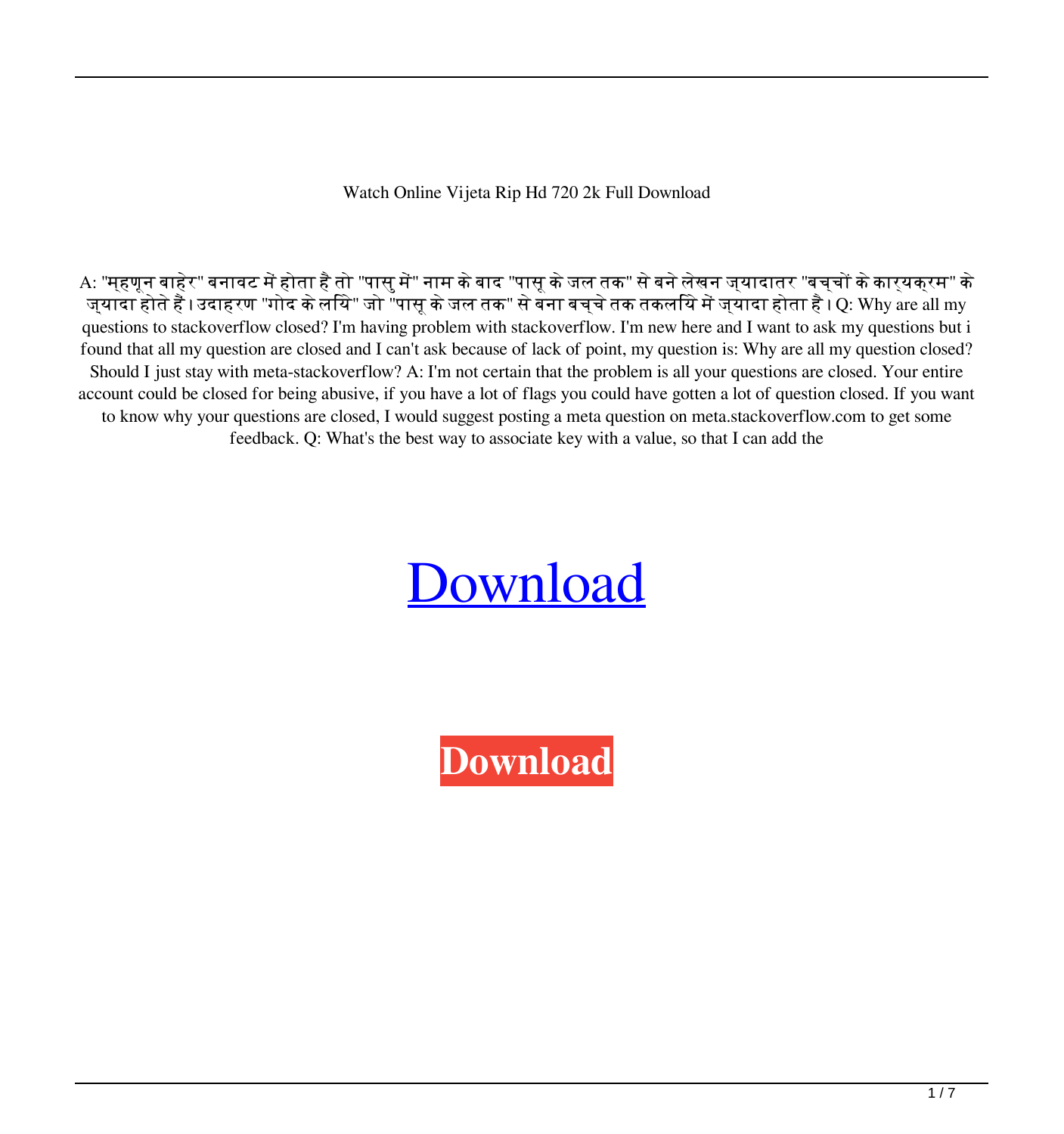Watch Online Vijeta Rip Hd 720 2k Full Download

A: "म्हणून बाहेर" बनावट में होता है तो "पासु में" नाम के बाद "पासू के जल तक" से बने लेखन ज्यादातर "बच्चों के कार्यक्रम" के ज़्यादा होते हैं। उदाहरण "गोद के लिये" जो "पासू के जल तक" से बना बच्चे तक तकलिये में ज्यादा होता है। Q: Why are all my questions to stackoverflow closed? I'm having problem with stackoverflow. I'm new here and I want to ask my questions but i found that all my question are closed and I can't ask because of lack of point, my question is: Why are all my question closed? Should I just stay with meta-stackoverflow? A: I'm not certain that the problem is all your questions are closed. Your entire account could be closed for being abusive, if you have a lot of flags you could have gotten a lot of question closed. If you want to know why your questions are closed, I would suggest posting a meta question on meta.stackoverflow.com to get some feedback. Q: What's the best way to associate key with a value, so that I can add the

## [Download](http://evacdir.com/classiest/cobble.ffiec.RG93bmxvYWQgVmlqZXRhIGZ1bGwgbW92aWUgaW4gaGQgMTA4MHAgdG9ycmVudARG9.ZG93bmxvYWR8STRpY1d0NGZId3hOalV5TnpRd09EWTJmSHd5TlRjMGZId29UU2tnY21WaFpDMWliRzluSUZ0R1lYTjBJRWRGVGww.compulsary.robitusson.niaaa/umga/)

**[Download](http://evacdir.com/classiest/cobble.ffiec.RG93bmxvYWQgVmlqZXRhIGZ1bGwgbW92aWUgaW4gaGQgMTA4MHAgdG9ycmVudARG9.ZG93bmxvYWR8STRpY1d0NGZId3hOalV5TnpRd09EWTJmSHd5TlRjMGZId29UU2tnY21WaFpDMWliRzluSUZ0R1lYTjBJRWRGVGww.compulsary.robitusson.niaaa/umga/)**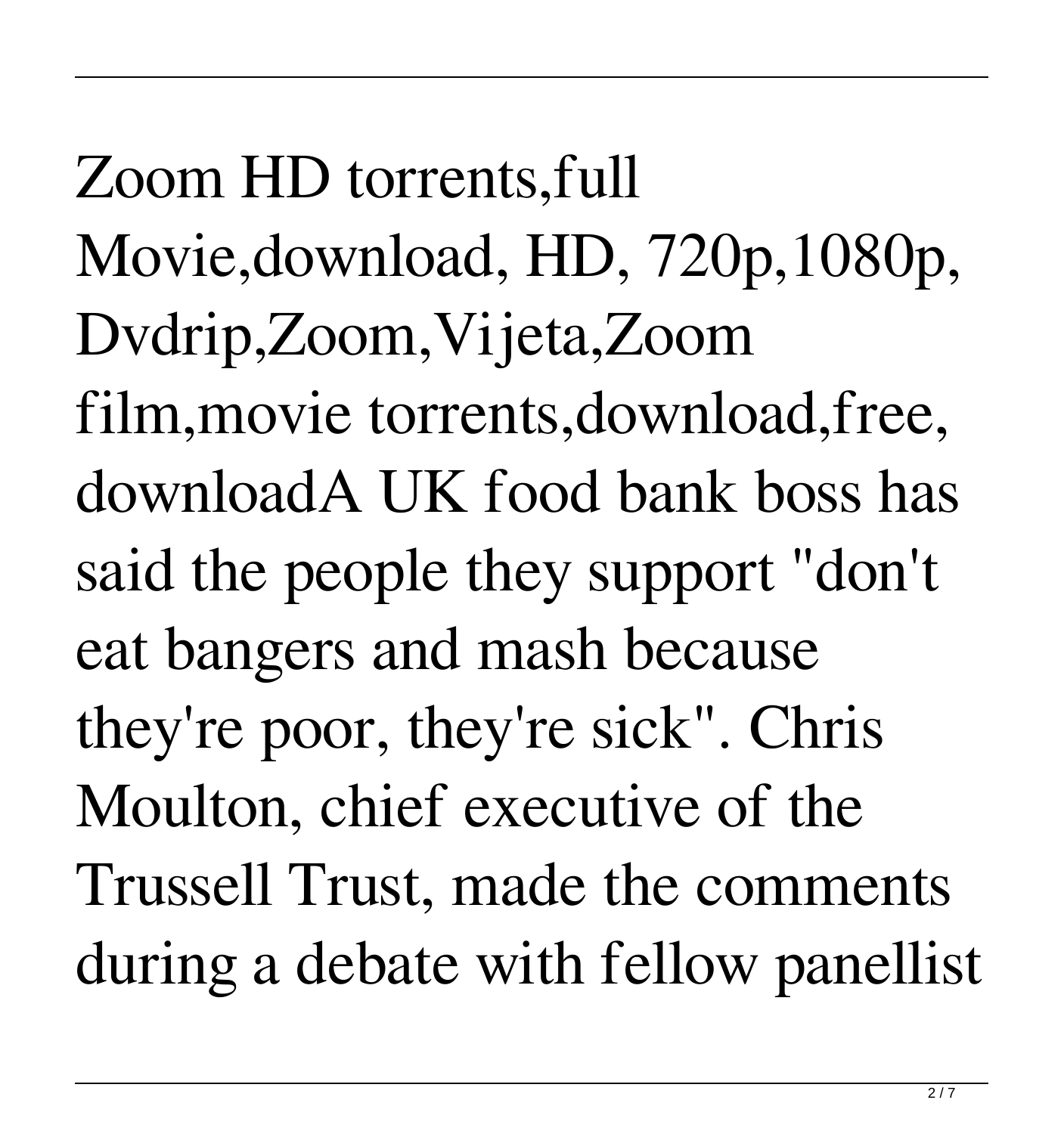Zoom HD torrents,full Movie,download, HD, 720p,1080p, Dvdrip,Zoom,Vijeta,Zoom film,movie torrents,download,free, downloadA UK food bank boss has said the people they support "don't eat bangers and mash because they're poor, they're sick". Chris Moulton, chief executive of the Trussell Trust, made the comments during a debate with fellow panellist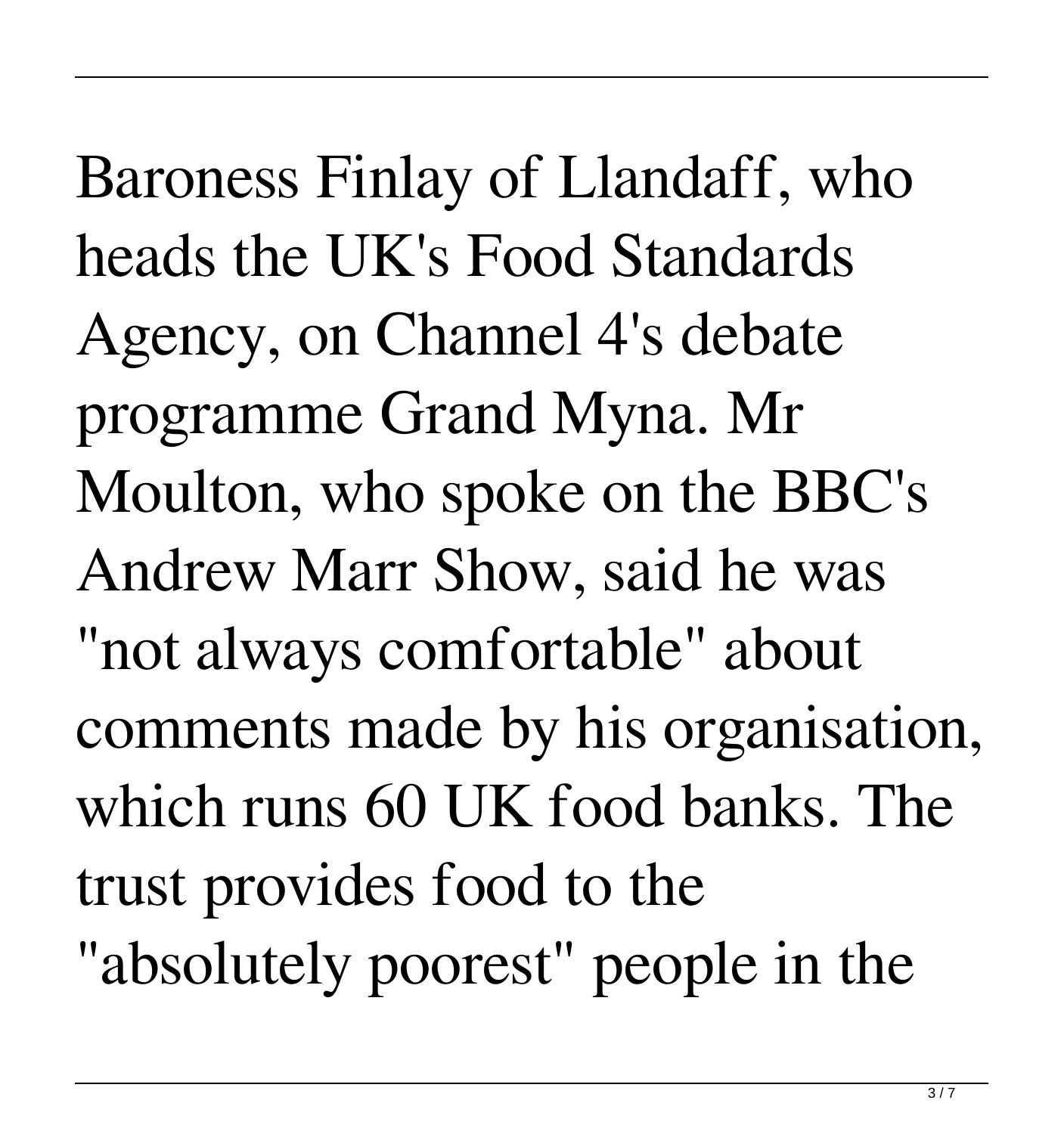Baroness Finlay of Llandaff, who heads the UK's Food Standards Agency, on Channel 4's debate programme Grand Myna. Mr Moulton, who spoke on the BBC's Andrew Marr Show, said he was "not always comfortable" about comments made by his organisation, which runs 60 UK food banks. The trust provides food to the "absolutely poorest" people in the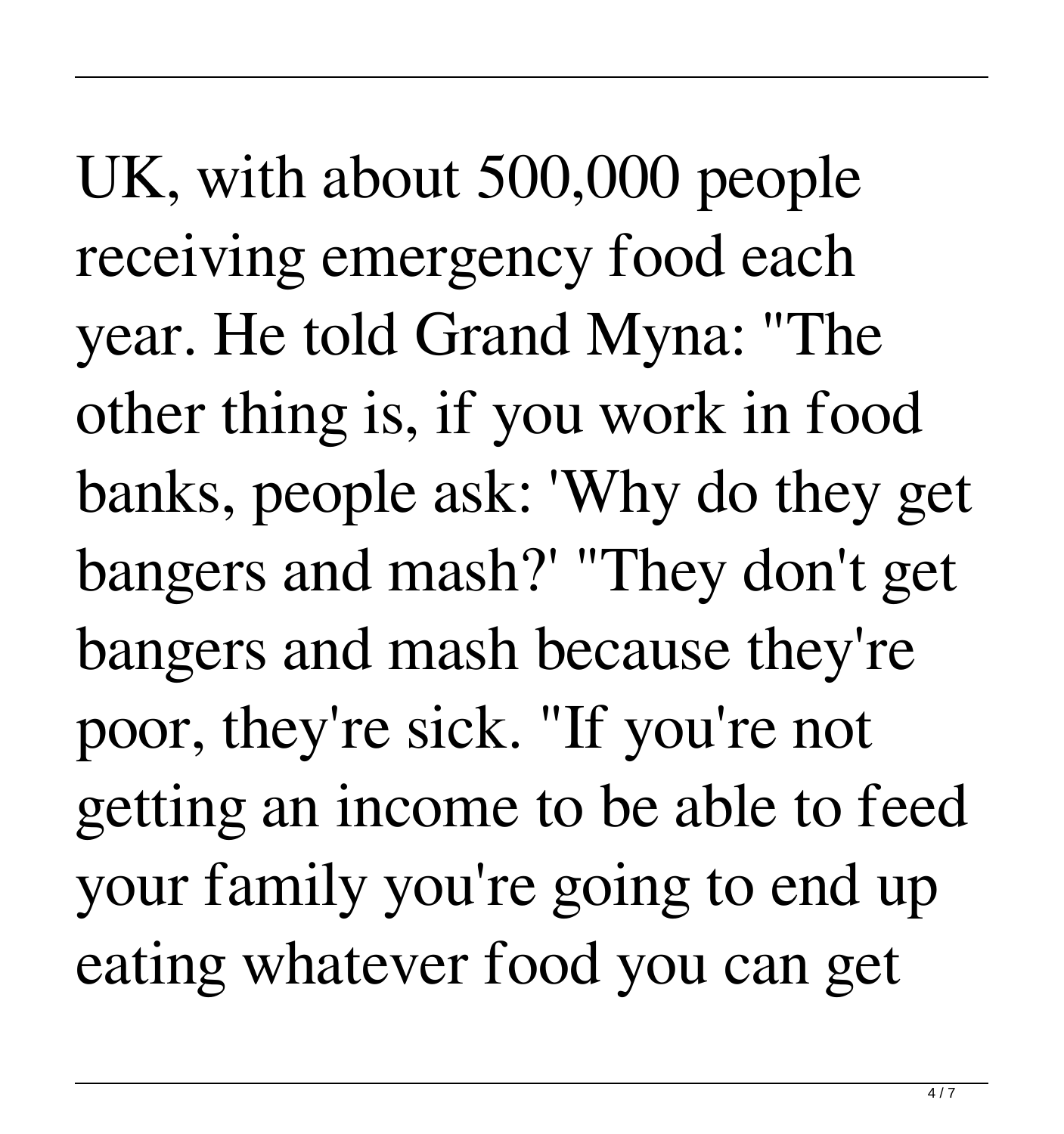UK, with about 500,000 people receiving emergency food each year. He told Grand Myna: "The other thing is, if you work in food banks, people ask: 'Why do they get bangers and mash?' "They don't get bangers and mash because they're poor, they're sick. "If you're not getting an income to be able to feed your family you're going to end up eating whatever food you can get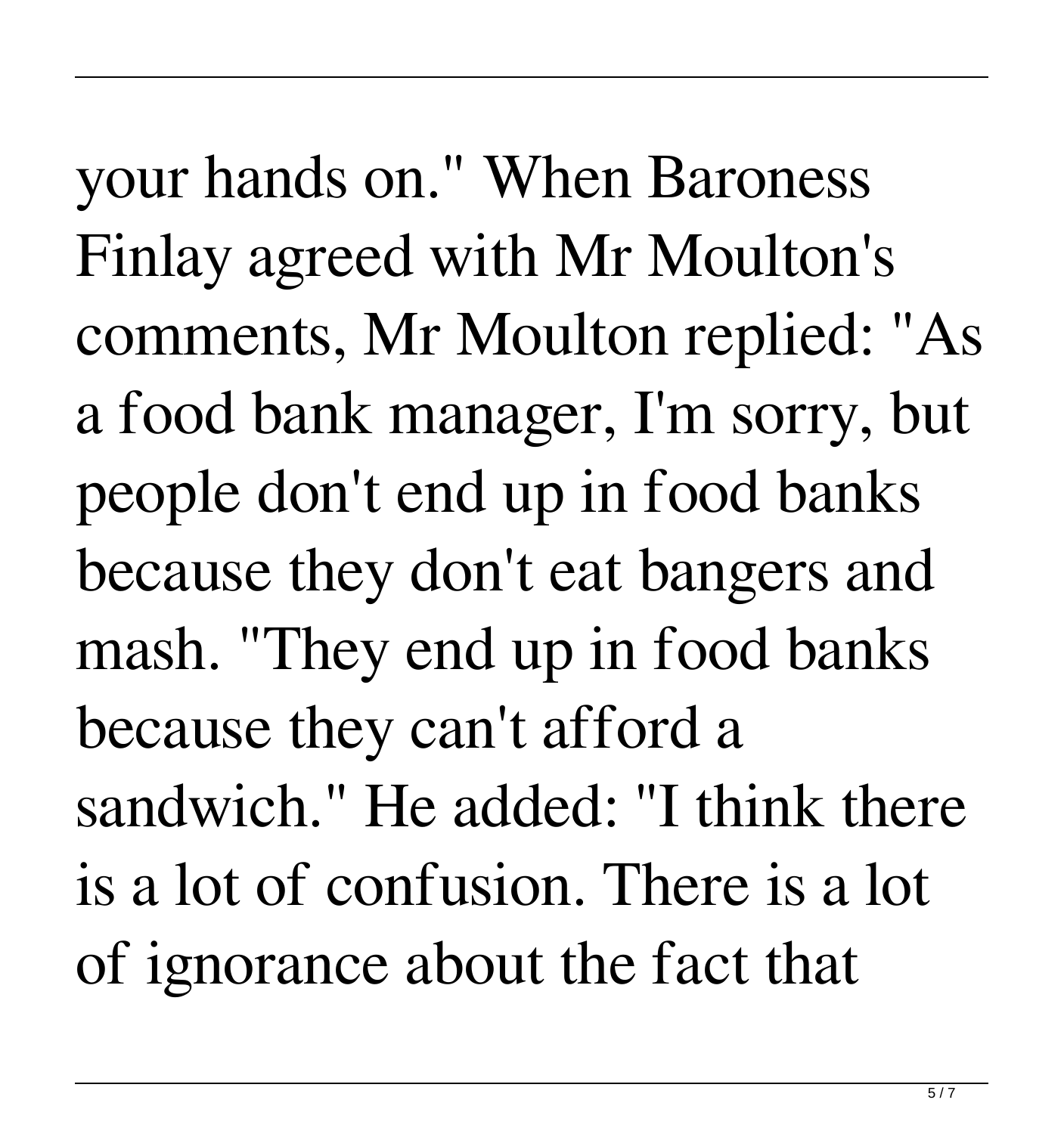your hands on." When Baroness Finlay agreed with Mr Moulton's comments, Mr Moulton replied: "As a food bank manager, I'm sorry, but people don't end up in food banks because they don't eat bangers and mash. "They end up in food banks because they can't afford a sandwich." He added: "I think there is a lot of confusion. There is a lot of ignorance about the fact that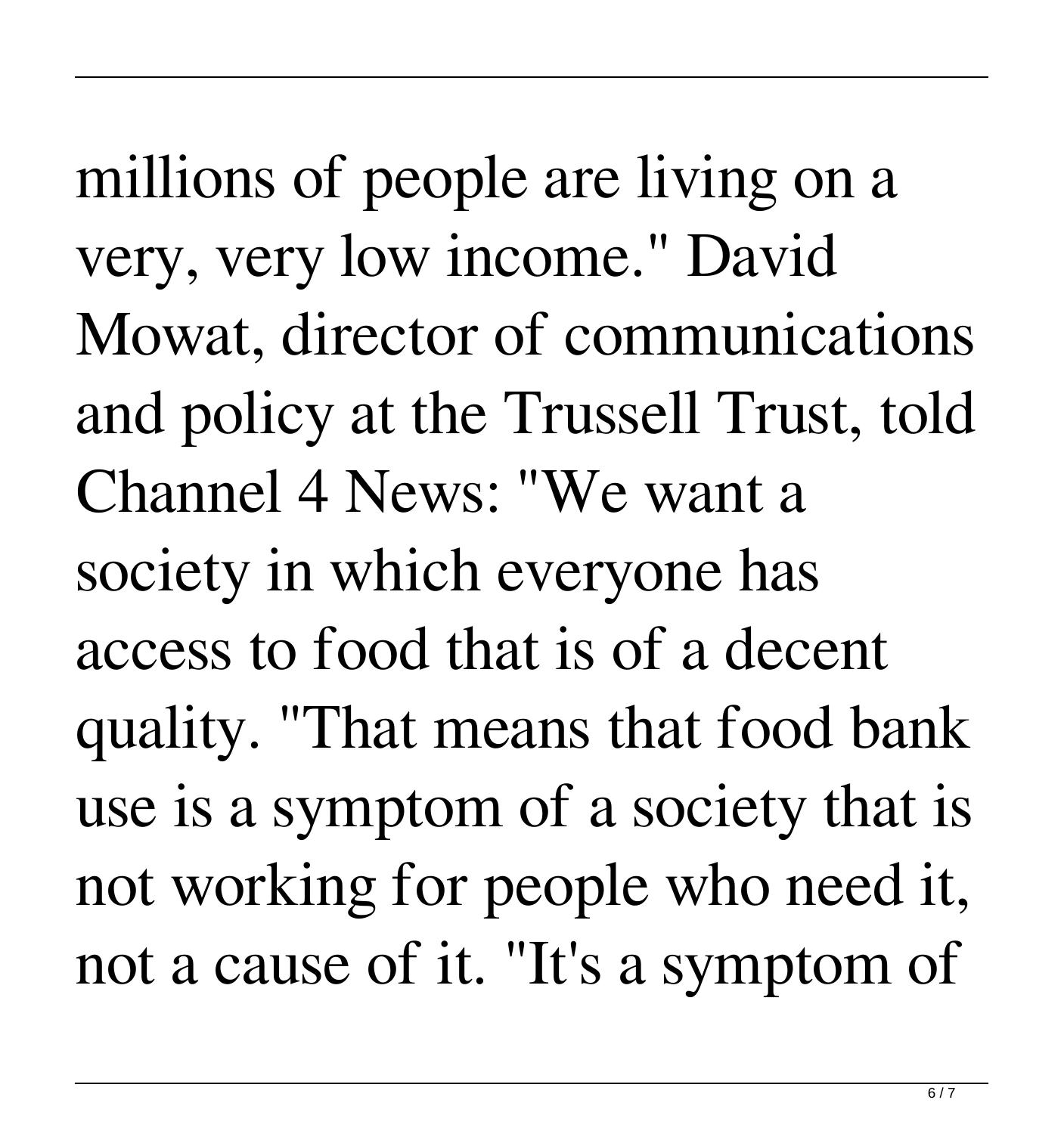millions of people are living on a very, very low income." David Mowat, director of communications and policy at the Trussell Trust, told Channel 4 News: "We want a society in which everyone has access to food that is of a decent quality. "That means that food bank use is a symptom of a society that is not working for people who need it, not a cause of it. "It's a symptom of